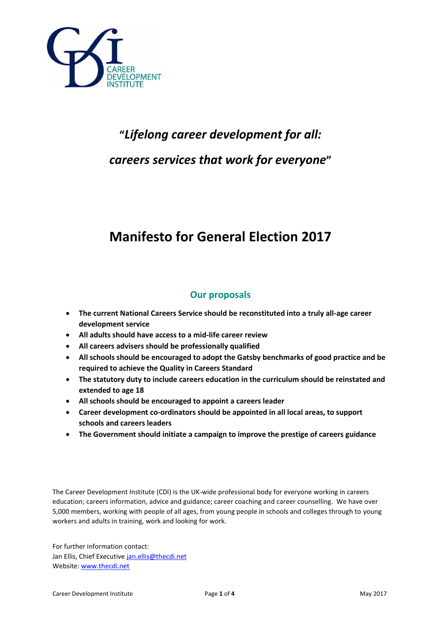

# **"***Lifelong career development for all: careers services that work for everyone***"**

# **Manifesto for General Election 2017**

## **Our proposals**

- **The current National Careers Service should be reconstituted into a truly all-age career development service**
- **All adults should have access to a mid-life career review**
- **All careers advisers should be professionally qualified**
- **All schools should be encouraged to adopt the Gatsby benchmarks of good practice and be required to achieve the Quality in Careers Standard**
- **The statutory duty to include careers education in the curriculum should be reinstated and extended to age 18**
- **All schools should be encouraged to appoint a careers leader**
- **Career development co-ordinators should be appointed in all local areas, to support schools and careers leaders**
- **The Government should initiate a campaign to improve the prestige of careers guidance**

The Career Development Institute (CDI) is the UK-wide professional body for everyone working in careers education; careers information, advice and guidance; career coaching and career counselling. We have over 5,000 members, working with people of all ages, from young people in schools and colleges through to young workers and adults in training, work and looking for work.

For further information contact: Jan Ellis, Chief Executive [jan.ellis@thecdi.net](mailto:jan.ellis@thecdi.net) Website[: www.thecdi.net](http://www.thecdi.net/)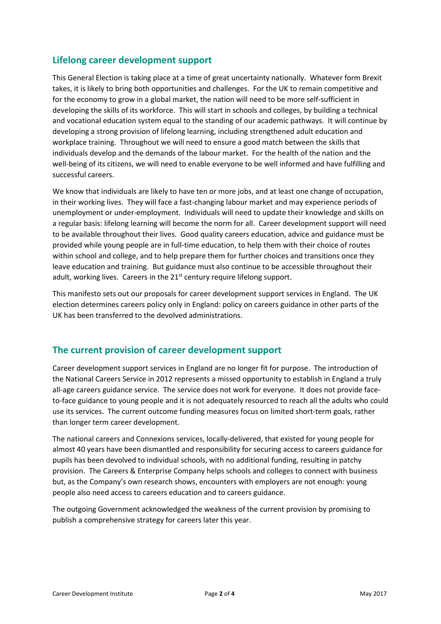#### **Lifelong career development support**

This General Election is taking place at a time of great uncertainty nationally. Whatever form Brexit takes, it is likely to bring both opportunities and challenges. For the UK to remain competitive and for the economy to grow in a global market, the nation will need to be more self-sufficient in developing the skills of its workforce. This will start in schools and colleges, by building a technical and vocational education system equal to the standing of our academic pathways. It will continue by developing a strong provision of lifelong learning, including strengthened adult education and workplace training. Throughout we will need to ensure a good match between the skills that individuals develop and the demands of the labour market. For the health of the nation and the well-being of its citizens, we will need to enable everyone to be well informed and have fulfilling and successful careers.

We know that individuals are likely to have ten or more jobs, and at least one change of occupation, in their working lives. They will face a fast-changing labour market and may experience periods of unemployment or under-employment. Individuals will need to update their knowledge and skills on a regular basis: lifelong learning will become the norm for all. Career development support will need to be available throughout their lives. Good quality careers education, advice and guidance must be provided while young people are in full-time education, to help them with their choice of routes within school and college, and to help prepare them for further choices and transitions once they leave education and training. But guidance must also continue to be accessible throughout their adult, working lives. Careers in the  $21<sup>st</sup>$  century require lifelong support.

This manifesto sets out our proposals for career development support services in England. The UK election determines careers policy only in England: policy on careers guidance in other parts of the UK has been transferred to the devolved administrations.

#### **The current provision of career development support**

Career development support services in England are no longer fit for purpose. The introduction of the National Careers Service in 2012 represents a missed opportunity to establish in England a truly all-age careers guidance service. The service does not work for everyone. It does not provide faceto-face guidance to young people and it is not adequately resourced to reach all the adults who could use its services. The current outcome funding measures focus on limited short-term goals, rather than longer term career development.

The national careers and Connexions services, locally-delivered, that existed for young people for almost 40 years have been dismantled and responsibility for securing access to careers guidance for pupils has been devolved to individual schools, with no additional funding, resulting in patchy provision. The Careers & Enterprise Company helps schools and colleges to connect with business but, as the Company's own research shows, encounters with employers are not enough: young people also need access to careers education and to careers guidance.

The outgoing Government acknowledged the weakness of the current provision by promising to publish a comprehensive strategy for careers later this year.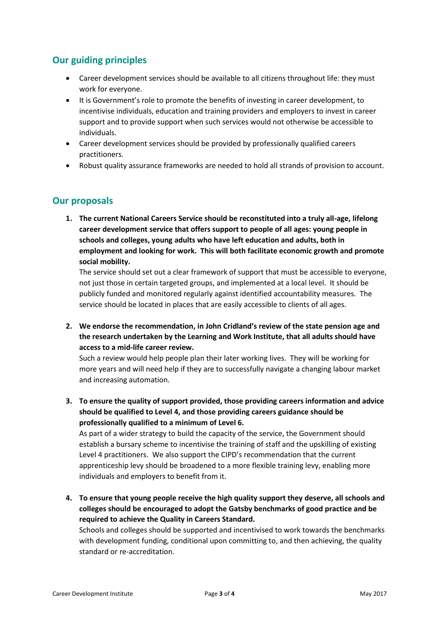### **Our guiding principles**

- Career development services should be available to all citizens throughout life: they must work for everyone.
- It is Government's role to promote the benefits of investing in career development, to incentivise individuals, education and training providers and employers to invest in career support and to provide support when such services would not otherwise be accessible to individuals.
- Career development services should be provided by professionally qualified careers practitioners.
- Robust quality assurance frameworks are needed to hold all strands of provision to account.

#### **Our proposals**

**1. The current National Careers Service should be reconstituted into a truly all-age, lifelong career development service that offers support to people of all ages: young people in schools and colleges, young adults who have left education and adults, both in employment and looking for work. This will both facilitate economic growth and promote social mobility.**

The service should set out a clear framework of support that must be accessible to everyone, not just those in certain targeted groups, and implemented at a local level. It should be publicly funded and monitored regularly against identified accountability measures. The service should be located in places that are easily accessible to clients of all ages.

**2. We endorse the recommendation, in John Cridland's review of the state pension age and the research undertaken by the Learning and Work Institute, that all adults should have access to a mid-life career review.**

Such a review would help people plan their later working lives. They will be working for more years and will need help if they are to successfully navigate a changing labour market and increasing automation.

**3. To ensure the quality of support provided, those providing careers information and advice should be qualified to Level 4, and those providing careers guidance should be professionally qualified to a minimum of Level 6.**

As part of a wider strategy to build the capacity of the service, the Government should establish a bursary scheme to incentivise the training of staff and the upskilling of existing Level 4 practitioners. We also support the CIPD's recommendation that the current apprenticeship levy should be broadened to a more flexible training levy, enabling more individuals and employers to benefit from it.

**4. To ensure that young people receive the high quality support they deserve, all schools and colleges should be encouraged to adopt the Gatsby benchmarks of good practice and be required to achieve the Quality in Careers Standard.**

Schools and colleges should be supported and incentivised to work towards the benchmarks with development funding, conditional upon committing to, and then achieving, the quality standard or re-accreditation.